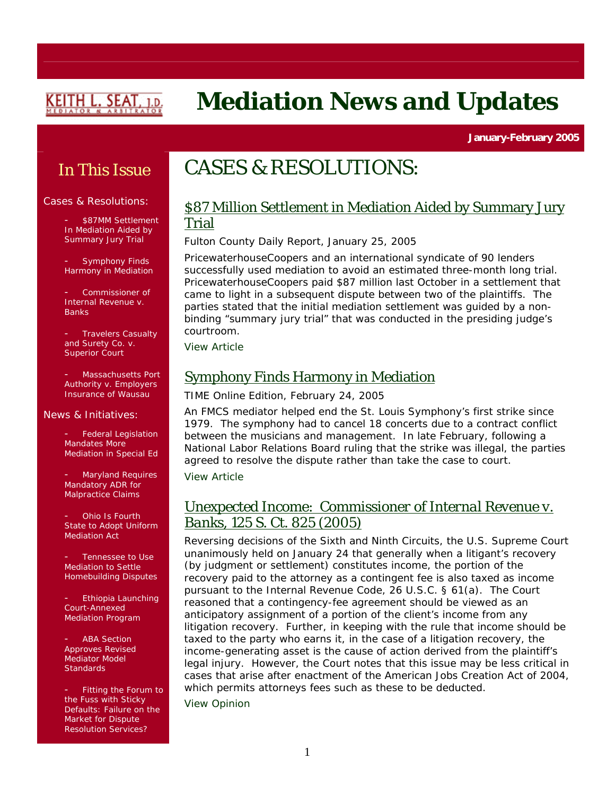

# **Mediation News and Updates**

**January-February 2005** 

## In This Issue

#### Cases & Resolutions:

\$87MM Settlement In Mediation Aided by Summary Jury Trial

- Symphony Finds Harmony in Mediation

- *Commissioner of Internal Revenue v. Banks* 

- *Travelers Casualty and Surety Co. v. Superior Court* 

- *Massachusetts Port Authority v. Employers Insurance of Wausau* 

#### News & Initiatives:

Federal Legislation Mandates More Mediation in Special Ed

Maryland Requires Mandatory ADR for Malpractice Claims

Ohio Is Fourth State to Adopt Uniform Mediation Act

Tennessee to Use Mediation to Settle Homebuilding Disputes

- Ethiopia Launching Court-Annexed Mediation Program

**ABA Section** Approves Revised Mediator *Model Standards*

- *Fitting the Forum to the Fuss with Sticky Defaults: Failure on the Market for Dispute Resolution Services?* 

## CASES & RESOLUTIONS:

### \$87 Million Settlement in Mediation Aided by Summary Jury Trial

### *Fulton County Daily Report*, January 25, 2005

PricewaterhouseCoopers and an international syndicate of 90 lenders successfully used mediation to avoid an estimated three-month long trial. PricewaterhouseCoopers paid \$87 million last October in a settlement that came to light in a subsequent dispute between two of the plaintiffs. The parties stated that the initial mediation settlement was guided by a nonbinding "summary jury trial" that was conducted in the presiding judge's courtroom.

[View Article](http://www.law.com/jsp/newswire_article.jsp?id=1106573717062) 

## Symphony Finds Harmony in Mediation

### *TIME Online Edition*, February 24, 2005

An FMCS mediator helped end the St. Louis Symphony's first strike since 1979. The symphony had to cancel 18 concerts due to a contract conflict between the musicians and management. In late February, following a National Labor Relations Board ruling that the strike was illegal, the parties agreed to resolve the dispute rather than take the case to court.

[View Article](http://www.time.com/time/nation/article/0,8599,1031497,00.html) 

### Unexpected Income: *Commissioner of Internal Revenue v. Banks*, 125 S. Ct. 825 (2005)

Reversing decisions of the Sixth and Ninth Circuits, the U.S. Supreme Court unanimously held on January 24 that generally when a litigant's recovery (by judgment or settlement) constitutes income, the portion of the recovery paid to the attorney as a contingent fee is also taxed as income pursuant to the Internal Revenue Code, 26 U.S.C. § 61(a). The Court reasoned that a contingency-fee agreement should be viewed as an anticipatory assignment of a portion of the client's income from any litigation recovery. Further, in keeping with the rule that income should be taxed to the party who earns it, in the case of a litigation recovery, the income-generating asset is the cause of action derived from the plaintiff's legal injury. However, the Court notes that this issue may be less critical in cases that arise after enactment of the American Jobs Creation Act of 2004, which permits attorneys fees such as these to be deducted.

[View Opinion](http://a257.g.akamaitech.net/7/257/2422/24jan20051130/www.supremecourtus.gov/opinions/04pdf/03-892.pdf)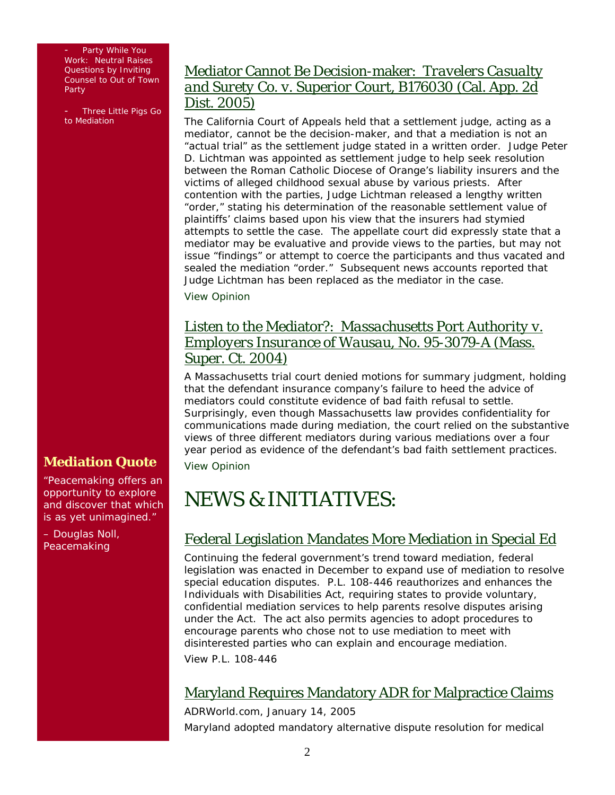Party While You Work: Neutral Raises Questions by Inviting Counsel to Out of Town Party

- *Three Little Pigs Go to Mediation* 

## Mediator Cannot Be Decision-maker: *Travelers Casualty and Surety Co. v. Superior Court*, B176030 (Cal. App. 2d Dist. 2005)

The California Court of Appeals held that a settlement judge, acting as a mediator, cannot be the decision-maker, and that a mediation is not an "actual trial" as the settlement judge stated in a written order. Judge Peter D. Lichtman was appointed as settlement judge to help seek resolution between the Roman Catholic Diocese of Orange's liability insurers and the victims of alleged childhood sexual abuse by various priests. After contention with the parties, Judge Lichtman released a lengthy written "order," stating his determination of the reasonable settlement value of plaintiffs' claims based upon his view that the insurers had stymied attempts to settle the case. The appellate court did expressly state that a mediator may be evaluative and provide views to the parties, but may not issue "findings" or attempt to coerce the participants and thus vacated and sealed the mediation "order." Subsequent news accounts reported that Judge Lichtman has been replaced as the mediator in the case.

[View Opinion](http://caselaw.lp.findlaw.com/data2/californiastatecases/b176030.pdf)

## Listen to the Mediator?: *Massachusetts Port Authority v. Employers Insurance of Wausau,* No. 95-3079-A (Mass. Super. Ct. 2004)

A Massachusetts trial court denied motions for summary judgment, holding that the defendant insurance company's failure to heed the advice of mediators could constitute evidence of bad faith refusal to settle. Surprisingly, even though Massachusetts law provides confidentiality for communications made during mediation, the court relied on the substantive views of three different mediators during various mediations over a four year period as evidence of the defendant's bad faith settlement practices. [View Opinion](http://mysite.verizon.net/vze4cdc2/sitebuildercontent/sitebuilderfiles/massportvwausau.pdf)

# NEWS & INITIATIVES:

## Federal Legislation Mandates More Mediation in Special Ed

Continuing the federal government's trend toward mediation, federal legislation was enacted in December to expand use of mediation to resolve special education disputes. P.L. 108-446 reauthorizes and enhances the *Individuals with Disabilities Act*, requiring states to provide voluntary, confidential mediation services to help parents resolve disputes arising under the Act. The act also permits agencies to adopt procedures to encourage parents who chose not to use mediation to meet with disinterested parties who can explain and encourage mediation.

*[View P.L. 108-446](http://www.ectac.org/idea/Idea2004.asp?text=1)*

## Maryland Requires Mandatory ADR for Malpractice Claims

*ADRWorld.com*, January 14, 2005 Maryland adopted mandatory alternative dispute resolution for medical

## **Mediation Quote**

"Peacemaking offers an opportunity to explore and discover that which is as yet unimagined."

– Douglas Noll, *Peace*making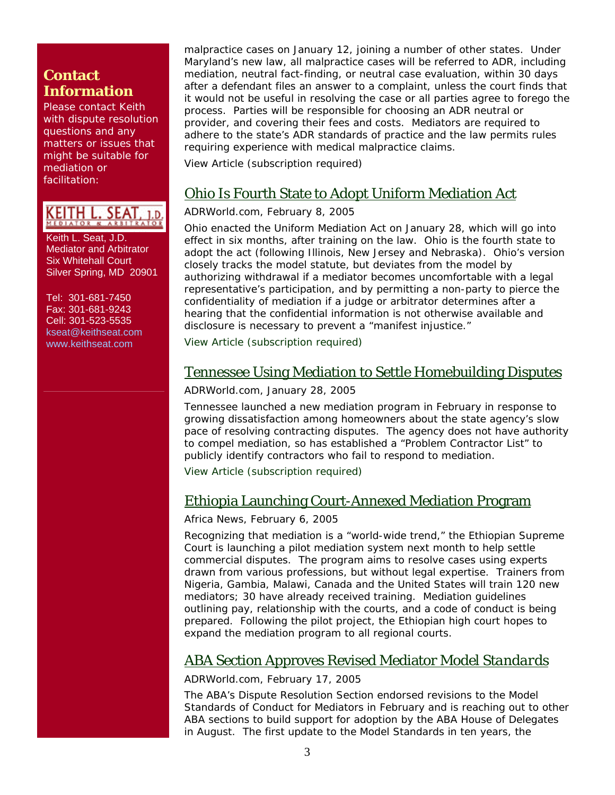## **Contact Information**

Please contact Keith with dispute resolution questions and any matters or issues that might be suitable for mediation or facilitation:

KEITH L. SEAT,

 Keith L. Seat, J.D. Mediator and Arbitrator Six Whitehall Court Silver Spring, MD 20901

 Tel: 301-681-7450 Fax: 301-681-9243 Cell: 301-523-5535 [kseat@keithseat.com](mailto:kseat@keithseat.com) [www.keithseat.com](http://www.keithseat.com/)

malpractice cases on January 12, joining a number of other states. Under Maryland's new law, all malpractice cases will be referred to ADR, including mediation, neutral fact-finding, or neutral case evaluation, within 30 days after a defendant files an answer to a complaint, unless the court finds that it would not be useful in resolving the case or all parties agree to forego the process. Parties will be responsible for choosing an ADR neutral or provider, and covering their fees and costs. Mediators are required to adhere to the state's ADR standards of practice and the law permits rules requiring experience with medical malpractice claims.

[View Article \(subscription required\)](http://www.adrworld.com/sp.asp?id=27372)

## Ohio Is Fourth State to Adopt Uniform Mediation Act

### *ADRWorld.com*, February 8, 2005

Ohio enacted the Uniform Mediation Act on January 28, which will go into effect in six months, after training on the law. Ohio is the fourth state to adopt the act (following Illinois, New Jersey and Nebraska). Ohio's version closely tracks the model statute, but deviates from the model by authorizing withdrawal if a mediator becomes uncomfortable with a legal representative's participation, and by permitting a non-party to pierce the confidentiality of mediation if a judge or arbitrator determines after a hearing that the confidential information is not otherwise available and disclosure is necessary to prevent a "manifest injustice."

[View Article \(subscription required\)](http://www.adrworld.com/opendocument.asp?Doc=8HoTO1HXS4)

### Tennessee Using Mediation to Settle Homebuilding Disputes

### *ADRWorld.com*, January 28, 2005

Tennessee launched a new mediation program in February in response to growing dissatisfaction among homeowners about the state agency's slow pace of resolving contracting disputes. The agency does not have authority to compel mediation, so has established a "Problem Contractor List" to publicly identify contractors who fail to respond to mediation.

[View Article](http://www.adrworld.com/opendocument.asp?Doc=OjwRJKFVoq) (subscription required)

## Ethiopia Launching Court-Annexed Mediation Program

### *Africa News*, February 6, 2005

Recognizing that mediation is a "world-wide trend," the Ethiopian Supreme Court is launching a pilot mediation system next month to help settle commercial disputes. The program aims to resolve cases using experts drawn from various professions, but without legal expertise. Trainers from Nigeria, Gambia, Malawi, Canada and the United States will train 120 new mediators; 30 have already received training. Mediation guidelines outlining pay, relationship with the courts, and a code of conduct is being prepared. Following the pilot project, the Ethiopian high court hopes to expand the mediation program to all regional courts.

## ABA Section Approves Revised Mediator *Model Standards*

### *ADRWorld.com*, February 17, 2005

The ABA's Dispute Resolution Section endorsed revisions to the *Model Standards of Conduct for Mediators* in February and is reaching out to other ABA sections to build support for adoption by the ABA House of Delegates in August. The first update to the *Model Standards* in ten years, the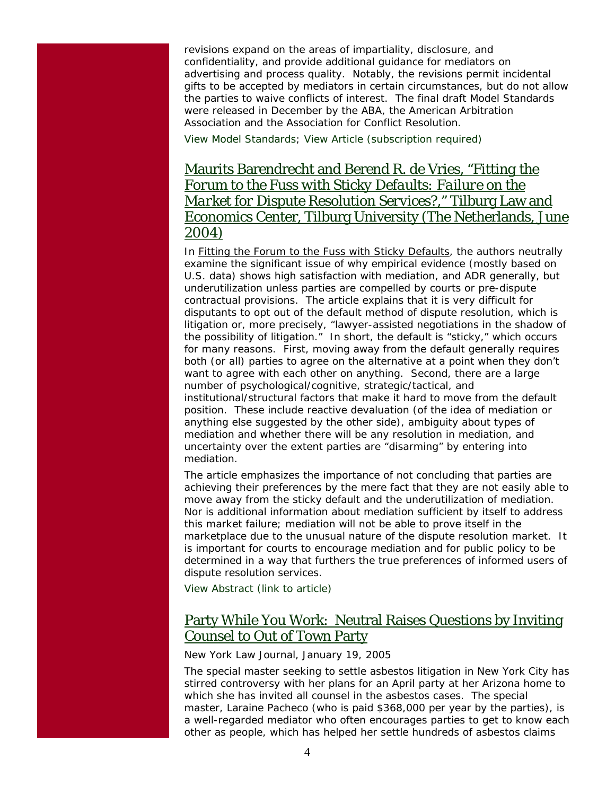revisions expand on the areas of impartiality, disclosure, and confidentiality, and provide additional guidance for mediators on advertising and process quality. Notably, the revisions permit incidental gifts to be accepted by mediators in certain circumstances, but do not allow the parties to waive conflicts of interest. The final draft *Model Standards* were released in December by the ABA, the American Arbitration Association and the Association for Conflict Resolution.

*View* [Model Standards](http://moritzlaw.osu.edu/dr/msoc/pdf/dec2004_draft_final.pdf)*; [View Article \(subscription required\)](http://www.adrworld.com/sp.asp?id=27393)*

## Maurits Barendrecht and Berend R. de Vries, "*Fitting the Forum to the Fuss with Sticky Defaults: Failure on the Market for Dispute Resolution Services?,*" Tilburg Law and Economics Center, Tilburg University (The Netherlands, June 2004)

In *Fitting the Forum to the Fuss with Sticky Defaults*, the authors neutrally examine the significant issue of why empirical evidence (mostly based on U.S. data) shows high satisfaction with mediation, and ADR generally, but underutilization unless parties are compelled by courts or pre-dispute contractual provisions. The article explains that it is very difficult for disputants to opt out of the default method of dispute resolution, which is litigation or, more precisely, "lawyer-assisted negotiations in the shadow of the possibility of litigation." In short, the default is "sticky," which occurs for many reasons. First, moving away from the default generally requires both (or all) parties to agree on the alternative at a point when they don't want to agree with each other on anything. Second, there are a large number of psychological/cognitive, strategic/tactical, and institutional/structural factors that make it hard to move from the default position. These include reactive devaluation (of the idea of mediation or anything else suggested by the other side), ambiguity about types of mediation and whether there will be any resolution in mediation, and uncertainty over the extent parties are "disarming" by entering into mediation.

The article emphasizes the importance of not concluding that parties are achieving their preferences by the mere fact that they are not easily able to move away from the sticky default and the underutilization of mediation. Nor is additional information about mediation sufficient by itself to address this market failure; mediation will not be able to prove itself in the marketplace due to the unusual nature of the dispute resolution market. It is important for courts to encourage mediation and for public policy to be determined in a way that furthers the true preferences of informed users of dispute resolution services.

*[View Abstract \(link to article\)](http://ssrn.com/abstract=572042)*

## Party While You Work: Neutral Raises Questions by Inviting Counsel to Out of Town Party

#### *New York Law Journal*, January 19, 2005

The special master seeking to settle asbestos litigation in New York City has stirred controversy with her plans for an April party at her Arizona home to which she has invited all counsel in the asbestos cases. The special master, Laraine Pacheco (who is paid \$368,000 per year by the parties), is a well-regarded mediator who often encourages parties to get to know each other as people, which has helped her settle hundreds of asbestos claims